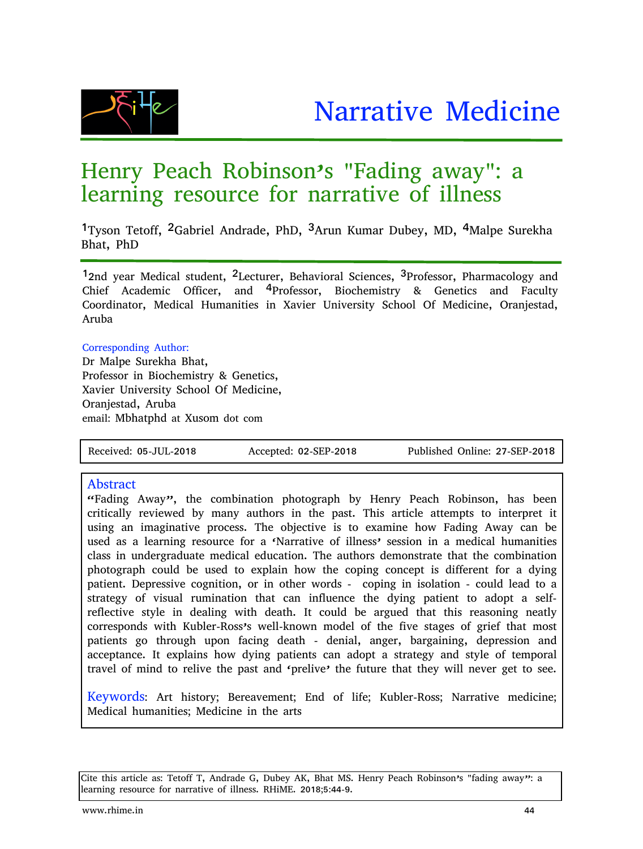



# Henry Peach Robinson's "Fading away": a learning resource for narrative of illness

1Tyson Tetoff, 2Gabriel Andrade, PhD, 3Arun Kumar Dubey, MD, 4Malpe Surekha Bhat, PhD

12nd year Medical student, 2Lecturer, Behavioral Sciences, 3Professor, Pharmacology and Chief Academic Officer, and 4Professor, Biochemistry & Genetics and Faculty Coordinator, Medical Humanities in Xavier University School Of Medicine, Oranjestad, Aruba

#### Corresponding Author:

Dr Malpe Surekha Bhat, Professor in Biochemistry & Genetics, Xavier University School Of Medicine, Oranjestad, Aruba email: Mbhatphd at Xusom dot com

Received: 05-JUL-2018 Accepted: 02-SEP-2018 Published Online: 27-SEP-2018

#### Abstract

"Fading Away", the combination photograph by Henry Peach Robinson, has been critically reviewed by many authors in the past. This article attempts to interpret it using an imaginative process. The objective is to examine how Fading Away can be used as a learning resource for a 'Narrative of illness' session in a medical humanities class in undergraduate medical education. The authors demonstrate that the combination photograph could be used to explain how the coping concept is different for a dying patient. Depressive cognition, or in other words - coping in isolation - could lead to a strategy of visual rumination that can influence the dying patient to adopt a selfreflective style in dealing with death. It could be argued that this reasoning neatly corresponds with Kubler-Ross's well-known model of the five stages of grief that most patients go through upon facing death - denial, anger, bargaining, depression and acceptance. It explains how dying patients can adopt a strategy and style of temporal travel of mind to relive the past and 'prelive' the future that they will never get to see.

Keywords: Art history; Bereavement; End of life; Kubler-Ross; Narrative medicine; Medical humanities; Medicine in the arts

Cite this article as: Tetoff T, Andrade G, Dubey AK, Bhat MS. Henry Peach Robinson's "fading away": a learning resource for narrative of illness. RHiME. 2018;5:44-9.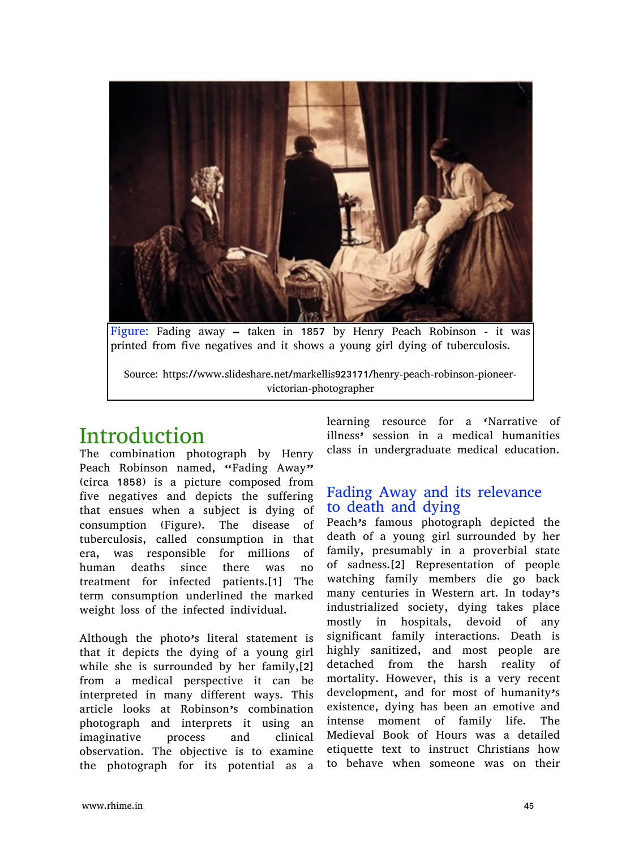

Figure: Fading away – taken in 1857 by Henry Peach Robinson - it was printed from five negatives and it shows a young girl dying of tuberculosis.

Source: https://www.slideshare.net/markellis923171/henry-peach-robinson-pioneervictorian-photographer

# Introduction

The combination photograph by Henry Peach Robinson named, "Fading Away" (circa 1858) is a picture composed from five negatives and depicts the suffering that ensues when a subject is dying of consumption (Figure). The disease of tuberculosis, called consumption in that era, was responsible for millions of human deaths since there was no treatment for infected patients.[1] The term consumption underlined the marked weight loss of the infected individual.

Although the photo's literal statement is that it depicts the dying of a young girl while she is surrounded by her family,[2] from a medical perspective it can be interpreted in many different ways. This article looks at Robinson's combination photograph and interprets it using an imaginative process and clinical observation. The objective is to examine the photograph for its potential as a

learning resource for a 'Narrative of illness' session in a medical humanities class in undergraduate medical education.

#### Fading Away and its relevance to death and dying

Peach's famous photograph depicted the death of a young girl surrounded by her family, presumably in a proverbial state of sadness.[2] Representation of people watching family members die go back many centuries in Western art. In today's industrialized society, dying takes place mostly in hospitals, devoid of any significant family interactions. Death is highly sanitized, and most people are detached from the harsh reality of mortality. However, this is a very recent development, and for most of humanity's existence, dying has been an emotive and intense moment of family life. The Medieval Book of Hours was a detailed etiquette text to instruct Christians how to behave when someone was on their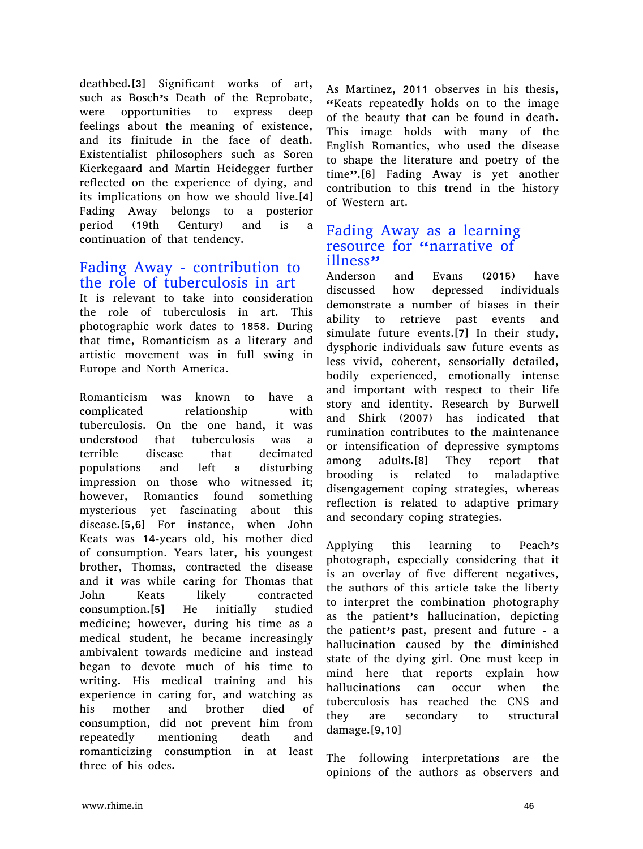deathbed.[3] Significant works of art, such as Bosch's Death of the Reprobate, were opportunities to express deep feelings about the meaning of existence, and its finitude in the face of death. Existentialist philosophers such as Soren Kierkegaard and Martin Heidegger further reflected on the experience of dying, and its implications on how we should live.[4] Fading Away belongs to a posterior period (19th Century) and is a continuation of that tendency.

### Fading Away - contribution to the role of tuberculosis in art

It is relevant to take into consideration the role of tuberculosis in art. This photographic work dates to 1858. During that time, Romanticism as a literary and artistic movement was in full swing in Europe and North America.

Romanticism was known to have a complicated relationship with tuberculosis. On the one hand, it was understood that tuberculosis was a terrible disease that decimated populations and left a disturbing impression on those who witnessed it; however, Romantics found something mysterious yet fascinating about this disease.[5,6] For instance, when John Keats was 14-years old, his mother died of consumption. Years later, his youngest brother, Thomas, contracted the disease and it was while caring for Thomas that John Keats likely contracted consumption.[5] He initially studied medicine; however, during his time as a medical student, he became increasingly ambivalent towards medicine and instead began to devote much of his time to writing. His medical training and his experience in caring for, and watching as his mother and brother died of consumption, did not prevent him from repeatedly mentioning death and romanticizing consumption in at least three of his odes.

As Martinez, 2011 observes in his thesis, "Keats repeatedly holds on to the image of the beauty that can be found in death. This image holds with many of the English Romantics, who used the disease to shape the literature and poetry of the time".<sup>[6]</sup> Fading Away is yet another contribution to this trend in the history of Western art.

#### Fading Away as a learning resource for "narrative of illness"

Anderson and Evans (2015) have discussed how depressed individuals demonstrate a number of biases in their ability to retrieve past events and simulate future events.[7] In their study, dysphoric individuals saw future events as less vivid, coherent, sensorially detailed, bodily experienced, emotionally intense and important with respect to their life story and identity. Research by Burwell and Shirk (2007) has indicated that rumination contributes to the maintenance or intensification of depressive symptoms among adults.[8] They report that brooding is related to maladaptive disengagement coping strategies, whereas reflection is related to adaptive primary and secondary coping strategies.

Applying this learning to Peach's photograph, especially considering that it is an overlay of five different negatives, the authors of this article take the liberty to interpret the combination photography as the patient's hallucination, depicting the patient's past, present and future - a hallucination caused by the diminished state of the dying girl. One must keep in mind here that reports explain how hallucinations can occur when the tuberculosis has reached the CNS and they are secondary to structural damage.[9,10]

The following interpretations are the opinions of the authors as observers and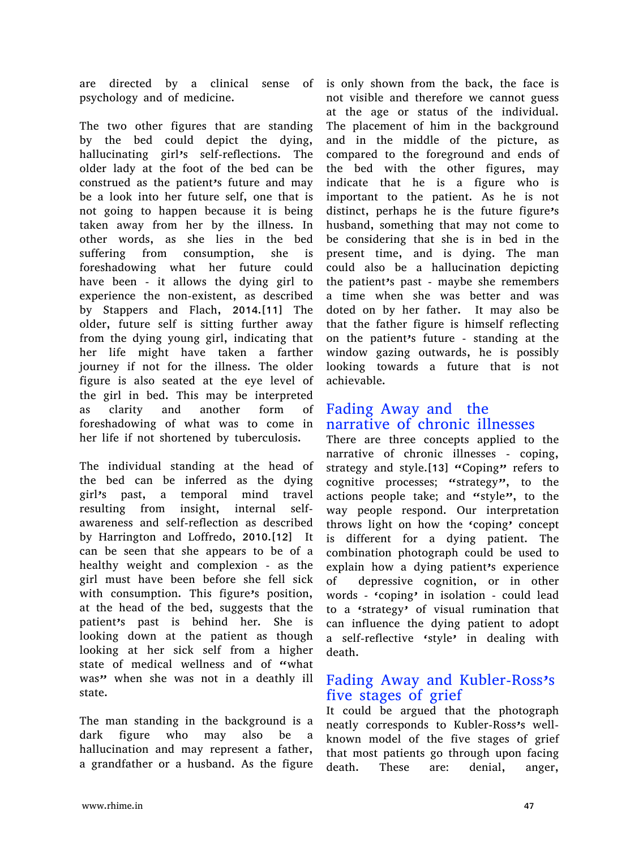are directed by a clinical sense of psychology and of medicine.

The two other figures that are standing by the bed could depict the dying, hallucinating girl's self-reflections. The older lady at the foot of the bed can be construed as the patient's future and may be a look into her future self, one that is not going to happen because it is being taken away from her by the illness. In other words, as she lies in the bed suffering from consumption, she is foreshadowing what her future could have been - it allows the dying girl to experience the non-existent, as described by Stappers and Flach, 2014.[11] The older, future self is sitting further away from the dying young girl, indicating that her life might have taken a farther journey if not for the illness. The older figure is also seated at the eye level of the girl in bed. This may be interpreted as clarity and another form of foreshadowing of what was to come in her life if not shortened by tuberculosis.

The individual standing at the head of the bed can be inferred as the dying girl's past, a temporal mind travel resulting from insight, internal selfawareness and self-reflection as described by Harrington and Loffredo, 2010.[12] It can be seen that she appears to be of a healthy weight and complexion - as the girl must have been before she fell sick with consumption. This figure's position, at the head of the bed, suggests that the patient's past is behind her. She is looking down at the patient as though looking at her sick self from a higher state of medical wellness and of "what was" when she was not in a deathly ill state.

The man standing in the background is a dark figure who may also be hallucination and may represent a father, a grandfather or a husband. As the figure

is only shown from the back, the face is not visible and therefore we cannot guess at the age or status of the individual. The placement of him in the background and in the middle of the picture, as compared to the foreground and ends of the bed with the other figures, may indicate that he is a figure who is important to the patient. As he is not distinct, perhaps he is the future figure's husband, something that may not come to be considering that she is in bed in the present time, and is dying. The man could also be a hallucination depicting the patient's past - maybe she remembers a time when she was better and was doted on by her father. It may also be that the father figure is himself reflecting on the patient's future - standing at the window gazing outwards, he is possibly looking towards a future that is not achievable.

## Fading Away and the narrative of chronic illnesses

There are three concepts applied to the narrative of chronic illnesses - coping, strategy and style.[13] "Coping" refers to cognitive processes; "strategy", to the actions people take; and "style", to the way people respond. Our interpretation throws light on how the 'coping' concept is different for a dying patient. The combination photograph could be used to explain how a dying patient's experience of depressive cognition, or in other words - 'coping' in isolation - could lead to a 'strategy' of visual rumination that can influence the dying patient to adopt a self-reflective 'style' in dealing with death.

## Fading Away and Kubler-Ross's five stages of grief

It could be argued that the photograph neatly corresponds to Kubler-Ross's wellknown model of the five stages of grief that most patients go through upon facing death. These are: denial, anger,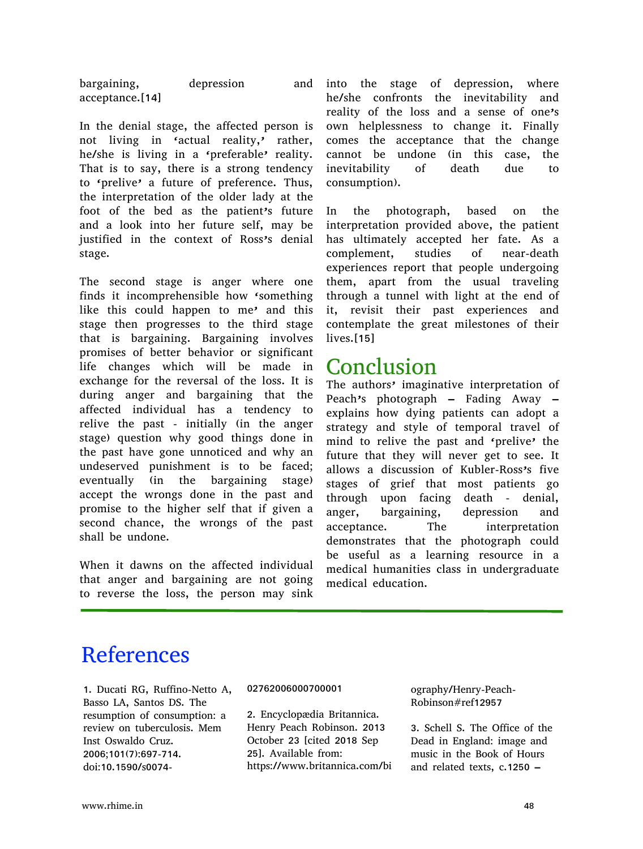bargaining, depression acceptance.[14]

In the denial stage, the affected person is not living in 'actual reality,' rather, he/she is living in a 'preferable' reality. That is to say, there is a strong tendency to 'prelive' a future of preference. Thus, the interpretation of the older lady at the foot of the bed as the patient's future and a look into her future self, may be justified in the context of Ross's denial stage.

The second stage is anger where one finds it incomprehensible how 'something like this could happen to me' and this stage then progresses to the third stage that is bargaining. Bargaining involves promises of better behavior or significant life changes which will be made in exchange for the reversal of the loss. It is during anger and bargaining that the affected individual has a tendency to relive the past - initially (in the anger stage) question why good things done in the past have gone unnoticed and why an undeserved punishment is to be faced; eventually (in the bargaining stage) accept the wrongs done in the past and promise to the higher self that if given a second chance, the wrongs of the past shall be undone.

When it dawns on the affected individual that anger and bargaining are not going to reverse the loss, the person may sink

and into the stage of depression, where he/she confronts the inevitability and reality of the loss and a sense of one's own helplessness to change it. Finally comes the acceptance that the change cannot be undone (in this case, the inevitability of death due to consumption).

> In the photograph, based on the interpretation provided above, the patient has ultimately accepted her fate. As a complement, studies of near-death experiences report that people undergoing them, apart from the usual traveling through a tunnel with light at the end of it, revisit their past experiences and contemplate the great milestones of their lives.[15]

## Conclusion

The authors' imaginative interpretation of Peach's photograph – Fading Away – explains how dying patients can adopt a strategy and style of temporal travel of mind to relive the past and 'prelive' the future that they will never get to see. It allows a discussion of Kubler-Ross's five stages of grief that most patients go through upon facing death - denial, anger, bargaining, depression and acceptance. The interpretation demonstrates that the photograph could be useful as a learning resource in a medical humanities class in undergraduate medical education.

# References

1. Ducati RG, Ruffino-Netto A, Basso LA, Santos DS. The resumption of consumption: a review on tuberculosis. Mem Inst Oswaldo Cruz. 2006;101(7):697-714. doi:10.1590/s0074-

#### 02762006000700001

2. Encyclopædia Britannica. Henry Peach Robinson. 2013 October 23 [cited 2018 Sep 25]. Available from: https://www.britannica.com/bi ography/Henry-Peach-Robinson#ref12957

3. Schell S. The Office of the Dead in England: image and music in the Book of Hours and related texts, c.1250 –